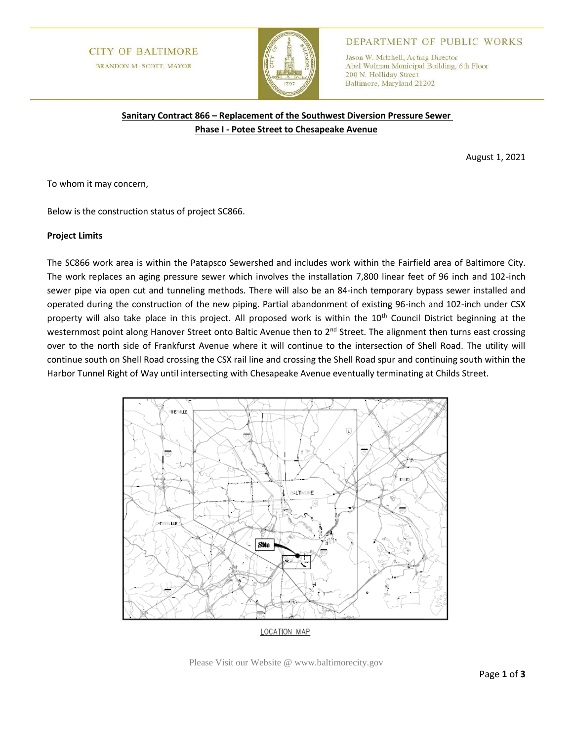# **CITY OF BALTIMORE BRANDON M. SCOTT, MAYOR**



## DEPARTMENT OF PUBLIC WORKS

Jason W. Mitchell, Acting Director Abel Wolman Municipal Building, 6th Floor 200 N. Holliday Street Baltimore, Maryland 21202

# **Sanitary Contract 866 – Replacement of the Southwest Diversion Pressure Sewer Phase I - Potee Street to Chesapeake Avenue**

August 1, 2021

To whom it may concern,

Below is the construction status of project SC866.

#### **Project Limits**

The SC866 work area is within the Patapsco Sewershed and includes work within the Fairfield area of Baltimore City. The work replaces an aging pressure sewer which involves the installation 7,800 linear feet of 96 inch and 102-inch sewer pipe via open cut and tunneling methods. There will also be an 84-inch temporary bypass sewer installed and operated during the construction of the new piping. Partial abandonment of existing 96-inch and 102-inch under CSX property will also take place in this project. All proposed work is within the 10<sup>th</sup> Council District beginning at the westernmost point along Hanover Street onto Baltic Avenue then to 2<sup>nd</sup> Street. The alignment then turns east crossing over to the north side of Frankfurst Avenue where it will continue to the intersection of Shell Road. The utility will continue south on Shell Road crossing the CSX rail line and crossing the Shell Road spur and continuing south within the Harbor Tunnel Right of Way until intersecting with Chesapeake Avenue eventually terminating at Childs Street.



Please Visit our Website @ www.baltimorecity.gov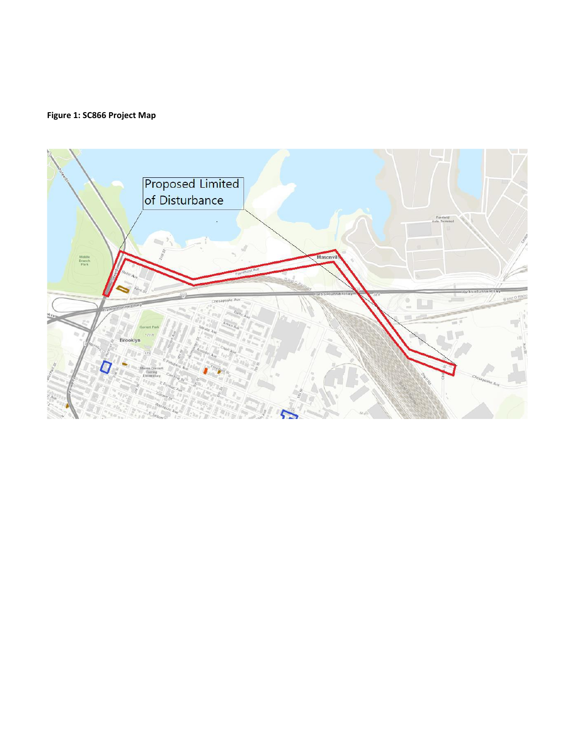# **Figure 1: SC866 Project Map**